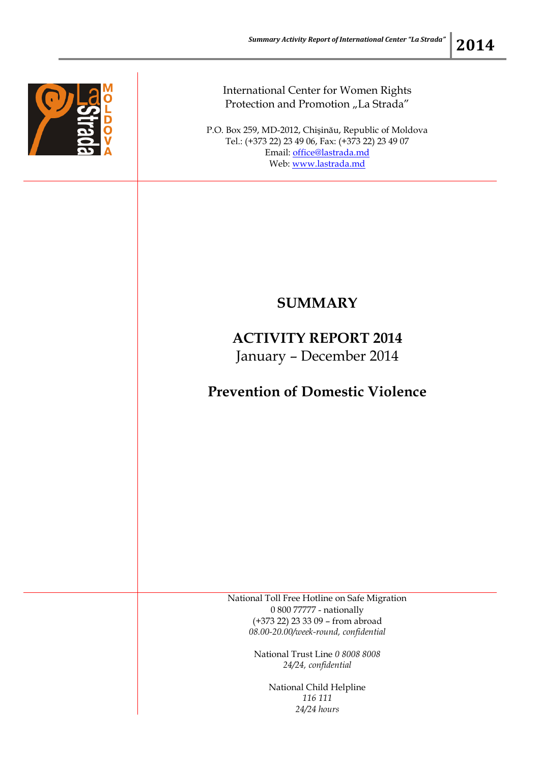

International Center for Women Rights Protection and Promotion "La Strada"

P.O. Box 259, MD-2012, Chişinău, Republic of Moldova Tel.: (+373 22) 23 49 06, Fax: (+373 22) 23 49 07 Email: [office@lastrada.md](mailto:office@lastrada.md) Web: [www.lastrada.md](http://www.lastrada.md/)

## **SUMMARY**

## **ACTIVITY REPORT 2014** January – December 2014

## **Prevention of Domestic Violence**

National Toll Free Hotline on Safe Migration 0 800 77777 - nationally (+373 22) 23 33 09 – from abroad *08.00-20.00/week-round, confidential*

> National Trust Line *0 8008 8008 24/24, confidential*

> > National Child Helpline *116 111 24/24 hours*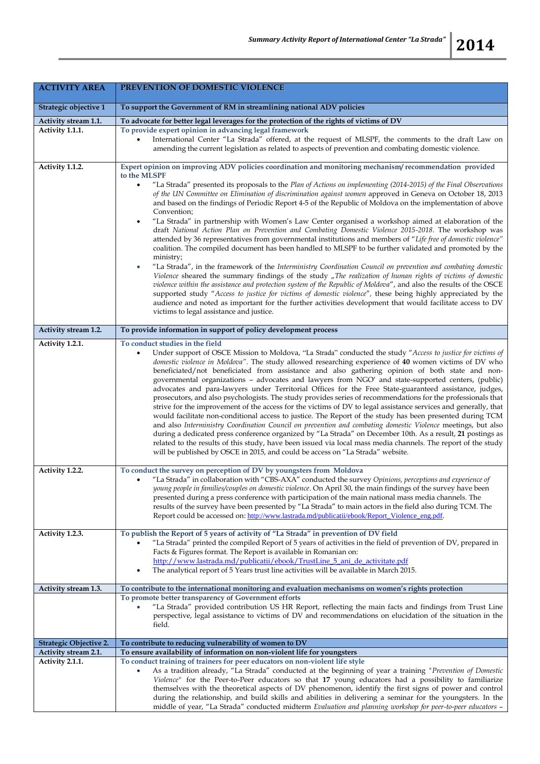| <b>ACTIVITY AREA</b>   | PREVENTION OF DOMESTIC VIOLENCE                                                                                                                                                                                                                                                                                                                                                                                                                                                                                                                                                                                                                                                                                                                                                                                                                                                                                                                                                                                                                                                                                                                                                                                                                                                                                                                                                                                                                                                                                                                                                                                |
|------------------------|----------------------------------------------------------------------------------------------------------------------------------------------------------------------------------------------------------------------------------------------------------------------------------------------------------------------------------------------------------------------------------------------------------------------------------------------------------------------------------------------------------------------------------------------------------------------------------------------------------------------------------------------------------------------------------------------------------------------------------------------------------------------------------------------------------------------------------------------------------------------------------------------------------------------------------------------------------------------------------------------------------------------------------------------------------------------------------------------------------------------------------------------------------------------------------------------------------------------------------------------------------------------------------------------------------------------------------------------------------------------------------------------------------------------------------------------------------------------------------------------------------------------------------------------------------------------------------------------------------------|
| Strategic objective 1  | To support the Government of RM in streamlining national ADV policies                                                                                                                                                                                                                                                                                                                                                                                                                                                                                                                                                                                                                                                                                                                                                                                                                                                                                                                                                                                                                                                                                                                                                                                                                                                                                                                                                                                                                                                                                                                                          |
| Activity stream 1.1.   | To advocate for better legal leverages for the protection of the rights of victims of DV                                                                                                                                                                                                                                                                                                                                                                                                                                                                                                                                                                                                                                                                                                                                                                                                                                                                                                                                                                                                                                                                                                                                                                                                                                                                                                                                                                                                                                                                                                                       |
| Activity 1.1.1.        | To provide expert opinion in advancing legal framework<br>International Center "La Strada" offered, at the request of MLSPF, the comments to the draft Law on<br>$\bullet$<br>amending the current legislation as related to aspects of prevention and combating domestic violence.                                                                                                                                                                                                                                                                                                                                                                                                                                                                                                                                                                                                                                                                                                                                                                                                                                                                                                                                                                                                                                                                                                                                                                                                                                                                                                                            |
| Activity 1.1.2.        | Expert opinion on improving ADV policies coordination and monitoring mechanism/recommendation provided<br>to the MLSPF<br>"La Strada" presented its proposals to the Plan of Actions on implementing (2014-2015) of the Final Observations<br>$\bullet$<br>of the UN Committee on Elimination of discrimination against women approved in Geneva on October 18, 2013<br>and based on the findings of Periodic Report 4-5 of the Republic of Moldova on the implementation of above<br>Convention;<br>"La Strada" in partnership with Women's Law Center organised a workshop aimed at elaboration of the<br>$\bullet$<br>draft National Action Plan on Prevention and Combating Domestic Violence 2015-2018. The workshop was<br>attended by 36 representatives from governmental institutions and members of "Life free of domestic violence"<br>coalition. The compiled document has been handled to MLSPF to be further validated and promoted by the<br>ministry;<br>"La Strada", in the framework of the Interministry Coordination Council on prevention and combating domestic<br>$\bullet$<br>Violence sheared the summary findings of the study "The realization of human rights of victims of domestic<br>violence within the assistance and protection system of the Republic of Moldova", and also the results of the OSCE<br>supported study "Access to justice for victims of domestic violence", these being highly appreciated by the<br>audience and noted as important for the further activities development that would facilitate access to DV<br>victims to legal assistance and justice. |
| Activity stream 1.2.   | To provide information in support of policy development process                                                                                                                                                                                                                                                                                                                                                                                                                                                                                                                                                                                                                                                                                                                                                                                                                                                                                                                                                                                                                                                                                                                                                                                                                                                                                                                                                                                                                                                                                                                                                |
| Activity 1.2.1.        | To conduct studies in the field<br>Under support of OSCE Mission to Moldova, "La Strada" conducted the study "Access to justice for victims of<br>$\bullet$<br>domestic violence in Moldova". The study allowed researching experience of 40 women victims of DV who<br>beneficiated/not beneficiated from assistance and also gathering opinion of both state and non-<br>governmental organizations - advocates and lawyers from NGO' and state-supported centers, (public)<br>advocates and para-lawyers under Territorial Offices for the Free State-guaranteed assistance, judges,<br>prosecutors, and also psychologists. The study provides series of recommendations for the professionals that<br>strive for the improvement of the access for the victims of DV to legal assistance services and generally, that<br>would facilitate non-conditional access to justice. The Report of the study has been presented during TCM<br>and also Interministry Coordination Council on prevention and combating domestic Violence meetings, but also<br>during a dedicated press conference organized by "La Strada" on December 10th. As a result, 21 postings as<br>related to the results of this study, have been issued via local mass media channels. The report of the study<br>will be published by OSCE in 2015, and could be access on "La Strada" website.                                                                                                                                                                                                                                       |
| Activity 1.2.2.        | To conduct the survey on perception of DV by youngsters from Moldova<br>"La Strada" in collaboration with "CBS-AXA" conducted the survey Opinions, perceptions and experience of<br>young people in families/couples on domestic violence. On April 30, the main findings of the survey have been<br>presented during a press conference with participation of the main national mass media channels. The<br>results of the survey have been presented by "La Strada" to main actors in the field also during TCM. The<br>Report could be accessed on: http://www.lastrada.md/publicatii/ebook/Report_Violence_eng.pdf.                                                                                                                                                                                                                                                                                                                                                                                                                                                                                                                                                                                                                                                                                                                                                                                                                                                                                                                                                                                        |
| Activity 1.2.3.        | To publish the Report of 5 years of activity of "La Strada" in prevention of DV field<br>"La Strada" printed the compiled Report of 5 years of activities in the field of prevention of DV, prepared in<br>Facts & Figures format. The Report is available in Romanian on:<br>http://www.lastrada.md/publicatii/ebook/TrustLine_5_ani_de_activitate.pdf<br>The analytical report of 5 Years trust line activities will be available in March 2015.<br>$\bullet$                                                                                                                                                                                                                                                                                                                                                                                                                                                                                                                                                                                                                                                                                                                                                                                                                                                                                                                                                                                                                                                                                                                                                |
| Activity stream 1.3.   | To contribute to the international monitoring and evaluation mechanisms on women's rights protection                                                                                                                                                                                                                                                                                                                                                                                                                                                                                                                                                                                                                                                                                                                                                                                                                                                                                                                                                                                                                                                                                                                                                                                                                                                                                                                                                                                                                                                                                                           |
|                        | To promote better transparency of Government efforts<br>"La Strada" provided contribution US HR Report, reflecting the main facts and findings from Trust Line<br>perspective, legal assistance to victims of DV and recommendations on elucidation of the situation in the<br>field.                                                                                                                                                                                                                                                                                                                                                                                                                                                                                                                                                                                                                                                                                                                                                                                                                                                                                                                                                                                                                                                                                                                                                                                                                                                                                                                          |
| Strategic Objective 2. | To contribute to reducing vulnerability of women to DV                                                                                                                                                                                                                                                                                                                                                                                                                                                                                                                                                                                                                                                                                                                                                                                                                                                                                                                                                                                                                                                                                                                                                                                                                                                                                                                                                                                                                                                                                                                                                         |
| Activity stream 2.1.   | To ensure availability of information on non-violent life for youngsters                                                                                                                                                                                                                                                                                                                                                                                                                                                                                                                                                                                                                                                                                                                                                                                                                                                                                                                                                                                                                                                                                                                                                                                                                                                                                                                                                                                                                                                                                                                                       |
| Activity 2.1.1.        | To conduct training of trainers for peer educators on non-violent life style<br>As a tradition already, "La Strada" conducted at the beginning of year a training "Prevention of Domestic<br>Violence" for the Peer-to-Peer educators so that 17 young educators had a possibility to familiarize<br>themselves with the theoretical aspects of DV phenomenon, identify the first signs of power and control<br>during the relationship, and build skills and abilities in delivering a seminar for the youngsters. In the<br>middle of year, "La Strada" conducted midterm Evaluation and planning workshop for peer-to-peer educators -                                                                                                                                                                                                                                                                                                                                                                                                                                                                                                                                                                                                                                                                                                                                                                                                                                                                                                                                                                      |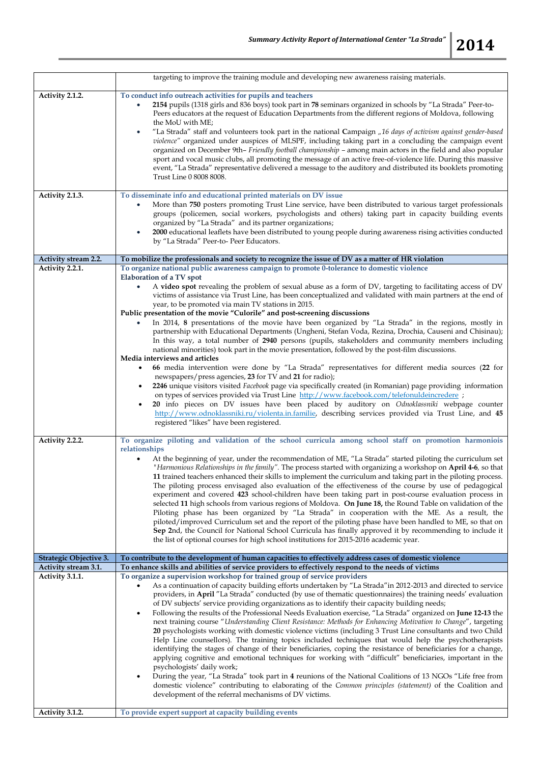|                                                | targeting to improve the training module and developing new awareness raising materials.                                                                                                                      |
|------------------------------------------------|---------------------------------------------------------------------------------------------------------------------------------------------------------------------------------------------------------------|
| Activity 2.1.2.                                | To conduct info outreach activities for pupils and teachers                                                                                                                                                   |
|                                                |                                                                                                                                                                                                               |
|                                                | 2154 pupils (1318 girls and 836 boys) took part in 78 seminars organized in schools by "La Strada" Peer-to-<br>٠                                                                                              |
|                                                | Peers educators at the request of Education Departments from the different regions of Moldova, following                                                                                                      |
|                                                | the MoU with ME;                                                                                                                                                                                              |
|                                                | "La Strada" staff and volunteers took part in the national Campaign "16 days of activism against gender-based<br>۰                                                                                            |
|                                                | violence" organized under auspices of MLSPF, including taking part in a concluding the campaign event                                                                                                         |
|                                                |                                                                                                                                                                                                               |
|                                                | organized on December 9th- Friendly football championship - among main actors in the field and also popular                                                                                                   |
|                                                | sport and vocal music clubs, all promoting the message of an active free-of-violence life. During this massive                                                                                                |
|                                                | event, "La Strada" representative delivered a message to the auditory and distributed its booklets promoting                                                                                                  |
|                                                | Trust Line 0 8008 8008.                                                                                                                                                                                       |
|                                                |                                                                                                                                                                                                               |
| Activity 2.1.3.                                | To disseminate info and educational printed materials on DV issue                                                                                                                                             |
|                                                | More than 750 posters promoting Trust Line service, have been distributed to various target professionals                                                                                                     |
|                                                |                                                                                                                                                                                                               |
|                                                | groups (policemen, social workers, psychologists and others) taking part in capacity building events                                                                                                          |
|                                                | organized by "La Strada" and its partner organizations;                                                                                                                                                       |
|                                                | 2000 educational leaflets have been distributed to young people during awareness rising activities conducted<br>٠                                                                                             |
|                                                | by "La Strada" Peer-to- Peer Educators.                                                                                                                                                                       |
|                                                |                                                                                                                                                                                                               |
| Activity stream 2.2.                           | To mobilize the professionals and society to recognize the issue of DV as a matter of HR violation                                                                                                            |
| Activity 2.2.1.                                | To organize national public awareness campaign to promote 0-tolerance to domestic violence                                                                                                                    |
|                                                | Elaboration of a TV spot                                                                                                                                                                                      |
|                                                | A video spot revealing the problem of sexual abuse as a form of DV, targeting to facilitating access of DV                                                                                                    |
|                                                | victims of assistance via Trust Line, has been conceptualized and validated with main partners at the end of                                                                                                  |
|                                                | year, to be promoted via main TV stations in 2015.                                                                                                                                                            |
|                                                | Public presentation of the movie "Culorile" and post-screening discussions                                                                                                                                    |
|                                                | In 2014, 8 presentations of the movie have been organized by "La Strada" in the regions, mostly in                                                                                                            |
|                                                |                                                                                                                                                                                                               |
|                                                | partnership with Educational Departments (Ungheni, Stefan Voda, Rezina, Drochia, Causeni and Chisinau);                                                                                                       |
|                                                | In this way, a total number of 2940 persons (pupils, stakeholders and community members including                                                                                                             |
|                                                | national minorities) took part in the movie presentation, followed by the post-film discussions.                                                                                                              |
|                                                | Media interviews and articles                                                                                                                                                                                 |
|                                                | 66 media intervention were done by "La Strada" representatives for different media sources (22 for                                                                                                            |
|                                                | newspapers/press agencies, 23 for TV and 21 for radio);                                                                                                                                                       |
|                                                | 2246 unique visitors visited Facebook page via specifically created (in Romanian) page providing information                                                                                                  |
|                                                |                                                                                                                                                                                                               |
|                                                | on types of services provided via Trust Line http://www.facebook.com/telefonuldeincredere ;                                                                                                                   |
|                                                | 20 info pieces on DV issues have been placed by auditory on Odnoklassniki webpage counter                                                                                                                     |
|                                                | http://www.odnoklassniki.ru/violenta.in.familie, describing services provided via Trust Line, and 45                                                                                                          |
|                                                | registered "likes" have been registered.                                                                                                                                                                      |
|                                                |                                                                                                                                                                                                               |
| Activity 2.2.2.                                | To organize piloting and validation of the school curricula among school staff on promotion harmoniois                                                                                                        |
|                                                | relationships                                                                                                                                                                                                 |
|                                                | At the beginning of year, under the recommendation of ME, "La Strada" started piloting the curriculum set                                                                                                     |
|                                                | "Harmonious Relationships in the family". The process started with organizing a workshop on April 4-6, so that                                                                                                |
|                                                | 11 trained teachers enhanced their skills to implement the curriculum and taking part in the piloting process.                                                                                                |
|                                                |                                                                                                                                                                                                               |
|                                                | The piloting process envisaged also evaluation of the effectiveness of the course by use of pedagogical                                                                                                       |
|                                                | experiment and covered 423 school-children have been taking part in post-course evaluation process in                                                                                                         |
|                                                | selected 11 high schools from various regions of Moldova. On June 18, the Round Table on validation of the                                                                                                    |
|                                                | Piloting phase has been organized by "La Strada" in cooperation with the ME. As a result, the                                                                                                                 |
|                                                | piloted/improved Curriculum set and the report of the piloting phase have been handled to ME, so that on                                                                                                      |
|                                                | Sep 2nd, the Council for National School Curricula has finally approved it by recommending to include it                                                                                                      |
|                                                | the list of optional courses for high school institutions for 2015-2016 academic year.                                                                                                                        |
|                                                |                                                                                                                                                                                                               |
|                                                |                                                                                                                                                                                                               |
| Strategic Objective 3.<br>Activity stream 3.1. | To contribute to the development of human capacities to effectively address cases of domestic violence<br>To enhance skills and abilities of service providers to effectively respond to the needs of victims |
|                                                |                                                                                                                                                                                                               |
| Activity 3.1.1.                                | To organize a supervision workshop for trained group of service providers                                                                                                                                     |
|                                                | As a continuation of capacity building efforts undertaken by "La Strada"in 2012-2013 and directed to service                                                                                                  |
|                                                | providers, in April "La Strada" conducted (by use of thematic questionnaires) the training needs' evaluation                                                                                                  |
|                                                | of DV subjects' service providing organizations as to identify their capacity building needs;                                                                                                                 |
|                                                | Following the results of the Professional Needs Evaluation exercise, "La Strada" organized on June 12-13 the<br>٠                                                                                             |
|                                                | next training course "Understanding Client Resistance: Methods for Enhancing Motivation to Change", targeting                                                                                                 |
|                                                |                                                                                                                                                                                                               |
|                                                | 20 psychologists working with domestic violence victims (including 3 Trust Line consultants and two Child                                                                                                     |
|                                                | Help Line counsellors). The training topics included techniques that would help the psychotherapists                                                                                                          |
|                                                | identifying the stages of change of their beneficiaries, coping the resistance of beneficiaries for a change,                                                                                                 |
|                                                | applying cognitive and emotional techniques for working with "difficult" beneficiaries, important in the                                                                                                      |
|                                                | psychologists' daily work;                                                                                                                                                                                    |
|                                                | During the year, "La Strada" took part in 4 reunions of the National Coalitions of 13 NGOs "Life free from<br>٠                                                                                               |
|                                                | domestic violence" contributing to elaborating of the Common principles (statement) of the Coalition and                                                                                                      |
|                                                | development of the referral mechanisms of DV victims.                                                                                                                                                         |
|                                                |                                                                                                                                                                                                               |
| Activity 3.1.2.                                | To provide expert support at capacity building events                                                                                                                                                         |
|                                                |                                                                                                                                                                                                               |